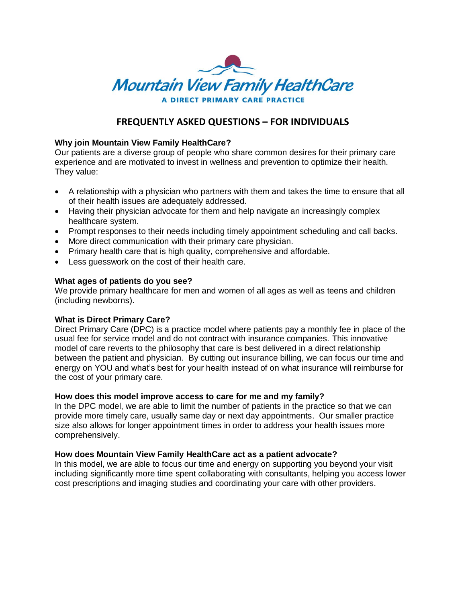

# **FREQUENTLY ASKED QUESTIONS – FOR INDIVIDUALS**

## **Why join Mountain View Family HealthCare?**

Our patients are a diverse group of people who share common desires for their primary care experience and are motivated to invest in wellness and prevention to optimize their health. They value:

- A relationship with a physician who partners with them and takes the time to ensure that all of their health issues are adequately addressed.
- Having their physician advocate for them and help navigate an increasingly complex healthcare system.
- Prompt responses to their needs including timely appointment scheduling and call backs.
- More direct communication with their primary care physician.
- Primary health care that is high quality, comprehensive and affordable.
- Less guesswork on the cost of their health care.

## **What ages of patients do you see?**

We provide primary healthcare for men and women of all ages as well as teens and children (including newborns).

#### **What is Direct Primary Care?**

Direct Primary Care (DPC) is a practice model where patients pay a monthly fee in place of the usual fee for service model and do not contract with insurance companies. This innovative model of care reverts to the philosophy that care is best delivered in a direct relationship between the patient and physician. By cutting out insurance billing, we can focus our time and energy on YOU and what's best for your health instead of on what insurance will reimburse for the cost of your primary care.

#### **How does this model improve access to care for me and my family?**

In the DPC model, we are able to limit the number of patients in the practice so that we can provide more timely care, usually same day or next day appointments. Our smaller practice size also allows for longer appointment times in order to address your health issues more comprehensively.

#### **How does Mountain View Family HealthCare act as a patient advocate?**

In this model, we are able to focus our time and energy on supporting you beyond your visit including significantly more time spent collaborating with consultants, helping you access lower cost prescriptions and imaging studies and coordinating your care with other providers.